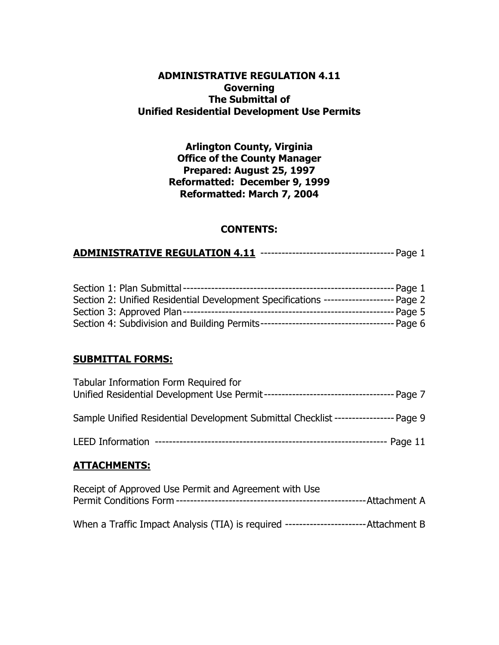### **ADMINISTRATIVE REGULATION 4.11 Governing The Submittal of Unified Residential Development Use Permits**

**Arlington County, Virginia Office of the County Manager Prepared: August 25, 1997 Reformatted: December 9, 1999 Reformatted: March 7, 2004**

## **CONTENTS:**

## **ADMINISTRATIVE REGULATION 4.11** -------------------------------------- Page 1

| Section 2: Unified Residential Development Specifications --------------------- Page 2 |                   |
|----------------------------------------------------------------------------------------|-------------------|
|                                                                                        | ---------- Page 5 |
|                                                                                        |                   |

### **SUBMITTAL FORMS:**

| Tabular Information Form Required for                                                |  |
|--------------------------------------------------------------------------------------|--|
| Sample Unified Residential Development Submittal Checklist ------------------ Page 9 |  |
|                                                                                      |  |
| <b>ATTACHMENTS:</b>                                                                  |  |
| Receipt of Approved Use Permit and Agreement with Use<br>-Attachment A               |  |

When a Traffic Impact Analysis (TIA) is required -----------------------Attachment B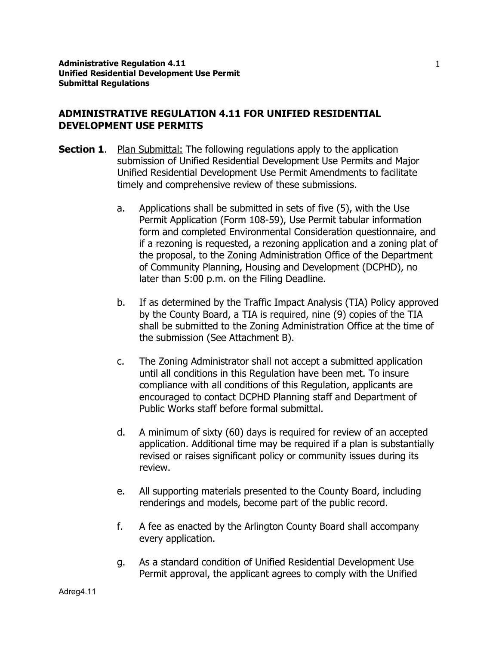### **ADMINISTRATIVE REGULATION 4.11 FOR UNIFIED RESIDENTIAL DEVELOPMENT USE PERMITS**

- **Section 1.** Plan Submittal: The following regulations apply to the application submission of Unified Residential Development Use Permits and Major Unified Residential Development Use Permit Amendments to facilitate timely and comprehensive review of these submissions.
	- a. Applications shall be submitted in sets of five (5), with the Use Permit Application (Form 108-59), Use Permit tabular information form and completed Environmental Consideration questionnaire, and if a rezoning is requested, a rezoning application and a zoning plat of the proposal, to the Zoning Administration Office of the Department of Community Planning, Housing and Development (DCPHD), no later than 5:00 p.m. on the Filing Deadline.
	- b. If as determined by the Traffic Impact Analysis (TIA) Policy approved by the County Board, a TIA is required, nine (9) copies of the TIA shall be submitted to the Zoning Administration Office at the time of the submission (See Attachment B).
	- c. The Zoning Administrator shall not accept a submitted application until all conditions in this Regulation have been met. To insure compliance with all conditions of this Regulation, applicants are encouraged to contact DCPHD Planning staff and Department of Public Works staff before formal submittal.
	- d. A minimum of sixty (60) days is required for review of an accepted application. Additional time may be required if a plan is substantially revised or raises significant policy or community issues during its review.
	- e. All supporting materials presented to the County Board, including renderings and models, become part of the public record.
	- f. A fee as enacted by the Arlington County Board shall accompany every application.
	- g. As a standard condition of Unified Residential Development Use Permit approval, the applicant agrees to comply with the Unified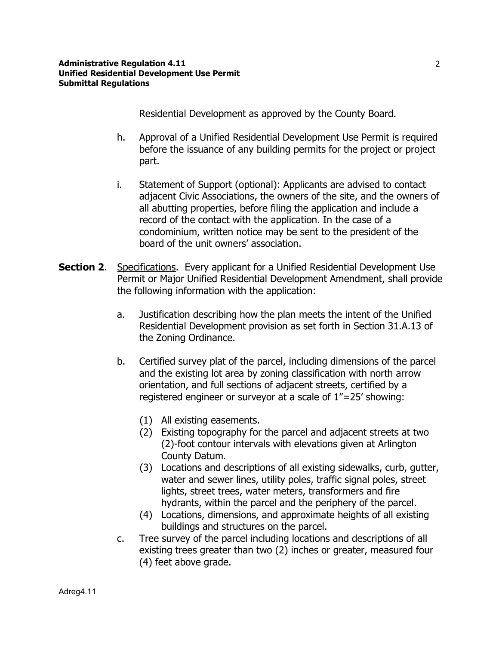Residential Development as approved by the County Board.

- h. Approval of a Unified Residential Development Use Permit is required before the issuance of any building permits for the project or project part.
- i. Statement of Support (optional): Applicants are advised to contact adjacent Civic Associations, the owners of the site, and the owners of all abutting properties, before filing the application and include a record of the contact with the application. In the case of a condominium, written notice may be sent to the president of the board of the unit owners' association.
- **Section 2.** Specifications. Every applicant for a Unified Residential Development Use Permit or Major Unified Residential Development Amendment, shall provide the following information with the application:
	- a. Justification describing how the plan meets the intent of the Unified Residential Development provision as set forth in Section 31.A.13 of the Zoning Ordinance.
	- b. Certified survey plat of the parcel, including dimensions of the parcel and the existing lot area by zoning classification with north arrow orientation, and full sections of adjacent streets, certified by a registered engineer or surveyor at a scale of 1"=25' showing:
		- (1) All existing easements.
		- (2) Existing topography for the parcel and adjacent streets at two (2)-foot contour intervals with elevations given at Arlington County Datum.
		- (3) Locations and descriptions of all existing sidewalks, curb, gutter, water and sewer lines, utility poles, traffic signal poles, street lights, street trees, water meters, transformers and fire hydrants, within the parcel and the periphery of the parcel.
		- (4) Locations, dimensions, and approximate heights of all existing buildings and structures on the parcel.
	- c. Tree survey of the parcel including locations and descriptions of all existing trees greater than two (2) inches or greater, measured four (4) feet above grade.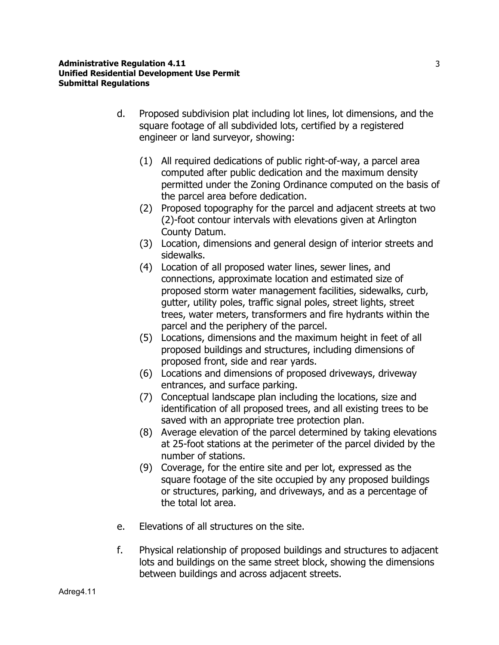- d. Proposed subdivision plat including lot lines, lot dimensions, and the square footage of all subdivided lots, certified by a registered engineer or land surveyor, showing:
	- (1) All required dedications of public right-of-way, a parcel area computed after public dedication and the maximum density permitted under the Zoning Ordinance computed on the basis of the parcel area before dedication.
	- (2) Proposed topography for the parcel and adjacent streets at two (2)-foot contour intervals with elevations given at Arlington County Datum.
	- (3) Location, dimensions and general design of interior streets and sidewalks.
	- (4) Location of all proposed water lines, sewer lines, and connections, approximate location and estimated size of proposed storm water management facilities, sidewalks, curb, gutter, utility poles, traffic signal poles, street lights, street trees, water meters, transformers and fire hydrants within the parcel and the periphery of the parcel.
	- (5) Locations, dimensions and the maximum height in feet of all proposed buildings and structures, including dimensions of proposed front, side and rear yards.
	- (6) Locations and dimensions of proposed driveways, driveway entrances, and surface parking.
	- (7) Conceptual landscape plan including the locations, size and identification of all proposed trees, and all existing trees to be saved with an appropriate tree protection plan.
	- (8) Average elevation of the parcel determined by taking elevations at 25-foot stations at the perimeter of the parcel divided by the number of stations.
	- (9) Coverage, for the entire site and per lot, expressed as the square footage of the site occupied by any proposed buildings or structures, parking, and driveways, and as a percentage of the total lot area.
- e. Elevations of all structures on the site.
- f. Physical relationship of proposed buildings and structures to adjacent lots and buildings on the same street block, showing the dimensions between buildings and across adjacent streets.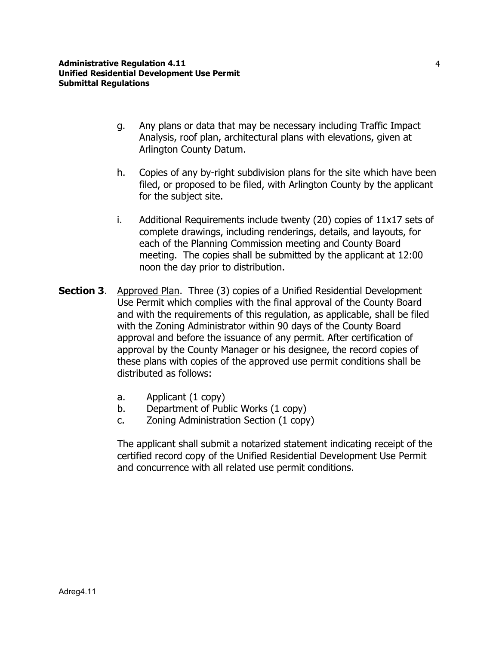- g. Any plans or data that may be necessary including Traffic Impact Analysis, roof plan, architectural plans with elevations, given at Arlington County Datum.
- h. Copies of any by-right subdivision plans for the site which have been filed, or proposed to be filed, with Arlington County by the applicant for the subject site.
- i. Additional Requirements include twenty (20) copies of 11x17 sets of complete drawings, including renderings, details, and layouts, for each of the Planning Commission meeting and County Board meeting. The copies shall be submitted by the applicant at 12:00 noon the day prior to distribution.
- **Section 3.** Approved Plan. Three (3) copies of a Unified Residential Development Use Permit which complies with the final approval of the County Board and with the requirements of this regulation, as applicable, shall be filed with the Zoning Administrator within 90 days of the County Board approval and before the issuance of any permit. After certification of approval by the County Manager or his designee, the record copies of these plans with copies of the approved use permit conditions shall be distributed as follows:
	- a. Applicant (1 copy)
	- b. Department of Public Works (1 copy)
	- c. Zoning Administration Section (1 copy)

The applicant shall submit a notarized statement indicating receipt of the certified record copy of the Unified Residential Development Use Permit and concurrence with all related use permit conditions.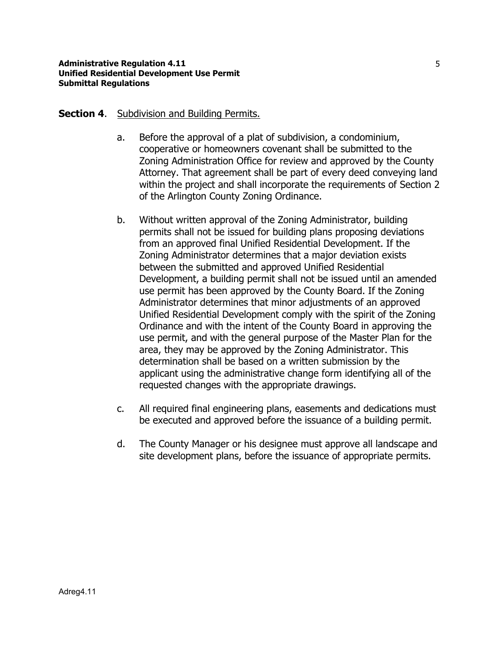### **Section 4.** Subdivision and **Building Permits.**

- a. Before the approval of a plat of subdivision, a condominium, cooperative or homeowners covenant shall be submitted to the Zoning Administration Office for review and approved by the County Attorney. That agreement shall be part of every deed conveying land within the project and shall incorporate the requirements of Section 2 of the Arlington County Zoning Ordinance.
- b. Without written approval of the Zoning Administrator, building permits shall not be issued for building plans proposing deviations from an approved final Unified Residential Development. If the Zoning Administrator determines that a major deviation exists between the submitted and approved Unified Residential Development, a building permit shall not be issued until an amended use permit has been approved by the County Board. If the Zoning Administrator determines that minor adjustments of an approved Unified Residential Development comply with the spirit of the Zoning Ordinance and with the intent of the County Board in approving the use permit, and with the general purpose of the Master Plan for the area, they may be approved by the Zoning Administrator. This determination shall be based on a written submission by the applicant using the administrative change form identifying all of the requested changes with the appropriate drawings.
- c. All required final engineering plans, easements and dedications must be executed and approved before the issuance of a building permit.
- d. The County Manager or his designee must approve all landscape and site development plans, before the issuance of appropriate permits.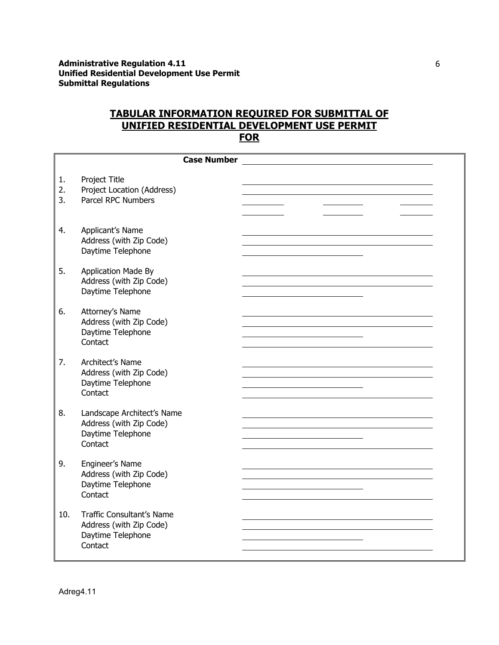### **TABULAR INFORMATION REQUIRED FOR SUBMITTAL OF UNIFIED RESIDENTIAL DEVELOPMENT USE PERMIT FOR**

|                | <b>Case Number</b>                                                                    |  |  |  |  |
|----------------|---------------------------------------------------------------------------------------|--|--|--|--|
| 1.<br>2.<br>3. | Project Title<br>Project Location (Address)<br>Parcel RPC Numbers                     |  |  |  |  |
| 4.             | Applicant's Name<br>Address (with Zip Code)<br>Daytime Telephone                      |  |  |  |  |
| 5.             | <b>Application Made By</b><br>Address (with Zip Code)<br>Daytime Telephone            |  |  |  |  |
| 6.             | Attorney's Name<br>Address (with Zip Code)<br>Daytime Telephone<br>Contact            |  |  |  |  |
| 7.             | Architect's Name<br>Address (with Zip Code)<br>Daytime Telephone<br>Contact           |  |  |  |  |
| 8.             | Landscape Architect's Name<br>Address (with Zip Code)<br>Daytime Telephone<br>Contact |  |  |  |  |
| 9.             | Engineer's Name<br>Address (with Zip Code)<br>Daytime Telephone<br>Contact            |  |  |  |  |
| 10.            | Traffic Consultant's Name<br>Address (with Zip Code)<br>Daytime Telephone<br>Contact  |  |  |  |  |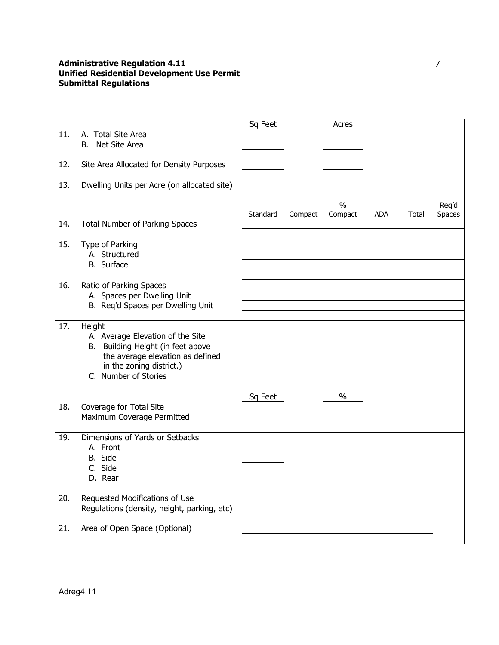|     |                                                                                                                                                 | Sq Feet  |         | Acres         |            |       |               |
|-----|-------------------------------------------------------------------------------------------------------------------------------------------------|----------|---------|---------------|------------|-------|---------------|
| 11. | A. Total Site Area                                                                                                                              |          |         |               |            |       |               |
|     | Net Site Area<br>B.                                                                                                                             |          |         |               |            |       |               |
| 12. | Site Area Allocated for Density Purposes                                                                                                        |          |         |               |            |       |               |
| 13. | Dwelling Units per Acre (on allocated site)                                                                                                     |          |         |               |            |       |               |
|     |                                                                                                                                                 |          |         | $\frac{0}{0}$ |            |       | Req'd         |
| 14. | Total Number of Parking Spaces                                                                                                                  | Standard | Compact | Compact       | <b>ADA</b> | Total | <b>Spaces</b> |
|     |                                                                                                                                                 |          |         |               |            |       |               |
| 15. | Type of Parking                                                                                                                                 |          |         |               |            |       |               |
|     | A. Structured<br>B. Surface                                                                                                                     |          |         |               |            |       |               |
|     |                                                                                                                                                 |          |         |               |            |       |               |
| 16. | Ratio of Parking Spaces                                                                                                                         |          |         |               |            |       |               |
|     | A. Spaces per Dwelling Unit                                                                                                                     |          |         |               |            |       |               |
|     | B. Req'd Spaces per Dwelling Unit                                                                                                               |          |         |               |            |       |               |
| 17. | Height<br>A. Average Elevation of the Site<br>B. Building Height (in feet above<br>the average elevation as defined<br>in the zoning district.) |          |         |               |            |       |               |
|     | C. Number of Stories                                                                                                                            |          |         |               |            |       |               |
| 18. | Coverage for Total Site<br>Maximum Coverage Permitted                                                                                           | Sq Feet  |         | $\%$          |            |       |               |
| 19. | Dimensions of Yards or Setbacks<br>A. Front<br>B. Side<br>C. Side<br>D. Rear                                                                    |          |         |               |            |       |               |
| 20. | Requested Modifications of Use<br>Regulations (density, height, parking, etc)                                                                   |          |         |               |            |       |               |
| 21. | Area of Open Space (Optional)                                                                                                                   |          |         |               |            |       |               |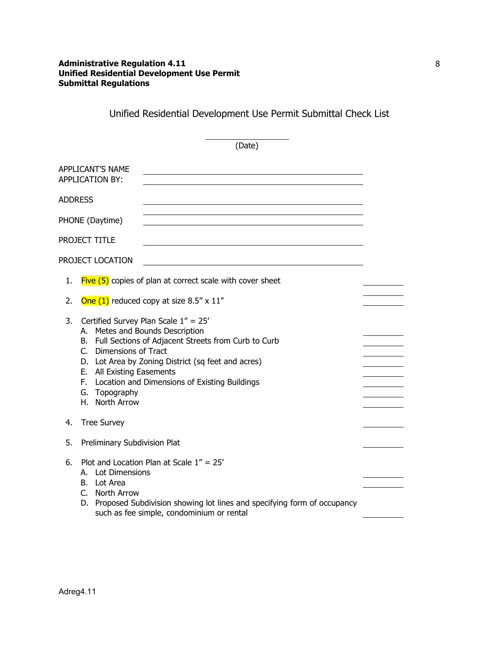Unified Residential Development Use Permit Submittal Check List

|                |                                                                                                                           | (Date)                                                                                                                                                                                                   |  |
|----------------|---------------------------------------------------------------------------------------------------------------------------|----------------------------------------------------------------------------------------------------------------------------------------------------------------------------------------------------------|--|
|                | <b>APPLICANT'S NAME</b><br><b>APPLICATION BY:</b>                                                                         |                                                                                                                                                                                                          |  |
| <b>ADDRESS</b> |                                                                                                                           |                                                                                                                                                                                                          |  |
|                | PHONE (Daytime)                                                                                                           |                                                                                                                                                                                                          |  |
|                | PROJECT TITLE                                                                                                             |                                                                                                                                                                                                          |  |
|                | PROJECT LOCATION                                                                                                          |                                                                                                                                                                                                          |  |
| 1.             |                                                                                                                           | $Five (5)$ copies of plan at correct scale with cover sheet                                                                                                                                              |  |
| 2.             |                                                                                                                           | One $(1)$ reduced copy at size 8.5" x 11"                                                                                                                                                                |  |
| 3.             | A. Metes and Bounds Description<br>C. Dimensions of Tract<br>E. All Existing Easements<br>G. Topography<br>H. North Arrow | Certified Survey Plan Scale 1" = 25'<br>B. Full Sections of Adjacent Streets from Curb to Curb<br>D. Lot Area by Zoning District (sq feet and acres)<br>F. Location and Dimensions of Existing Buildings |  |
| 4.             | <b>Tree Survey</b>                                                                                                        |                                                                                                                                                                                                          |  |
| 5.             | Preliminary Subdivision Plat                                                                                              |                                                                                                                                                                                                          |  |
| 6.             | A. Lot Dimensions<br>B. Lot Area<br>C. North Arrow<br>D.                                                                  | Plot and Location Plan at Scale 1" = 25'<br>Proposed Subdivision showing lot lines and specifying form of occupancy<br>such as fee simple, condominium or rental                                         |  |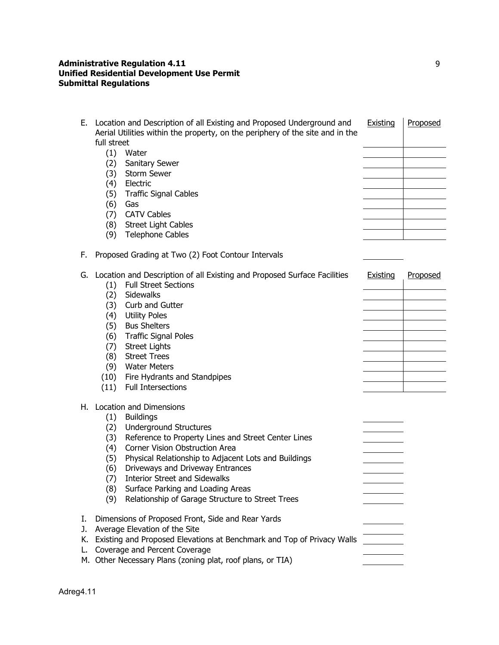| Е.                         | Location and Description of all Existing and Proposed Underground and<br>Aerial Utilities within the property, on the periphery of the site and in the<br>full street<br>$(1)$ Water<br>(2)<br>Sanitary Sewer<br>Storm Sewer<br>(3)<br>Electric<br>(4)<br><b>Traffic Signal Cables</b><br>(5)<br>(6)<br>Gas<br><b>CATV Cables</b><br>(7)<br><b>Street Light Cables</b><br>(8)<br>(9)<br><b>Telephone Cables</b>                                                          | Existing | Proposed |
|----------------------------|--------------------------------------------------------------------------------------------------------------------------------------------------------------------------------------------------------------------------------------------------------------------------------------------------------------------------------------------------------------------------------------------------------------------------------------------------------------------------|----------|----------|
| F.                         | Proposed Grading at Two (2) Foot Contour Intervals                                                                                                                                                                                                                                                                                                                                                                                                                       |          |          |
| G.                         | Location and Description of all Existing and Proposed Surface Facilities<br><b>Full Street Sections</b><br>(1)<br>Sidewalks<br>(2)<br>Curb and Gutter<br>(3)<br><b>Utility Poles</b><br>(4)<br><b>Bus Shelters</b><br>(5)<br><b>Traffic Signal Poles</b><br>(6)<br><b>Street Lights</b><br>(7)<br><b>Street Trees</b><br>(8)<br>(9)<br><b>Water Meters</b><br>(10)<br>Fire Hydrants and Standpipes<br>(11)<br><b>Full Intersections</b>                                  | Existing | Proposed |
| Н.                         | <b>Location and Dimensions</b><br>(1)<br><b>Buildings</b><br><b>Underground Structures</b><br>(2)<br>Reference to Property Lines and Street Center Lines<br>(3)<br>Corner Vision Obstruction Area<br>(4)<br>Physical Relationship to Adjacent Lots and Buildings<br>(5)<br>Driveways and Driveway Entrances<br>(6)<br><b>Interior Street and Sidewalks</b><br>(7)<br>Surface Parking and Loading Areas<br>(8)<br>Relationship of Garage Structure to Street Trees<br>(9) |          |          |
| I.<br>J.<br>K.<br>L.<br>М. | Dimensions of Proposed Front, Side and Rear Yards<br>Average Elevation of the Site<br>Existing and Proposed Elevations at Benchmark and Top of Privacy Walls<br>Coverage and Percent Coverage<br>Other Necessary Plans (zoning plat, roof plans, or TIA)                                                                                                                                                                                                                 |          |          |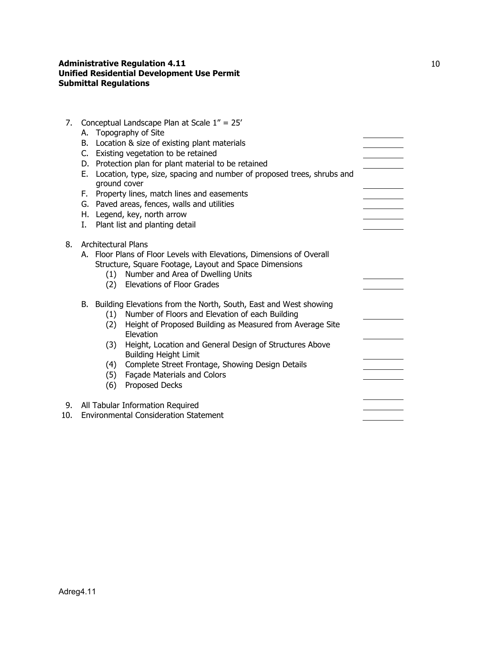| 7.  |                                                                                                                                 |                            | Conceptual Landscape Plan at Scale 1" = 25'                                             |  |  |  |
|-----|---------------------------------------------------------------------------------------------------------------------------------|----------------------------|-----------------------------------------------------------------------------------------|--|--|--|
|     |                                                                                                                                 |                            | A. Topography of Site                                                                   |  |  |  |
|     | B. Location & size of existing plant materials                                                                                  |                            |                                                                                         |  |  |  |
|     | C. Existing vegetation to be retained                                                                                           |                            |                                                                                         |  |  |  |
|     | D. Protection plan for plant material to be retained                                                                            |                            |                                                                                         |  |  |  |
|     | Е.                                                                                                                              | ground cover               | Location, type, size, spacing and number of proposed trees, shrubs and                  |  |  |  |
|     | F. Property lines, match lines and easements                                                                                    |                            |                                                                                         |  |  |  |
|     | G. Paved areas, fences, walls and utilities                                                                                     |                            |                                                                                         |  |  |  |
|     | H. Legend, key, north arrow                                                                                                     |                            |                                                                                         |  |  |  |
|     | Ι.                                                                                                                              |                            | Plant list and planting detail                                                          |  |  |  |
|     |                                                                                                                                 |                            |                                                                                         |  |  |  |
| 8.  |                                                                                                                                 | <b>Architectural Plans</b> |                                                                                         |  |  |  |
|     | A. Floor Plans of Floor Levels with Elevations, Dimensions of Overall<br>Structure, Square Footage, Layout and Space Dimensions |                            |                                                                                         |  |  |  |
|     |                                                                                                                                 |                            |                                                                                         |  |  |  |
|     |                                                                                                                                 | (1)                        | Number and Area of Dwelling Units                                                       |  |  |  |
|     |                                                                                                                                 | (2)                        | <b>Elevations of Floor Grades</b>                                                       |  |  |  |
|     |                                                                                                                                 |                            |                                                                                         |  |  |  |
|     | B. Building Elevations from the North, South, East and West showing                                                             |                            |                                                                                         |  |  |  |
|     |                                                                                                                                 | (1)                        | Number of Floors and Elevation of each Building                                         |  |  |  |
|     |                                                                                                                                 | (2)                        | Height of Proposed Building as Measured from Average Site<br>Elevation                  |  |  |  |
|     |                                                                                                                                 | (3)                        | Height, Location and General Design of Structures Above<br><b>Building Height Limit</b> |  |  |  |
|     | (4)                                                                                                                             |                            | Complete Street Frontage, Showing Design Details                                        |  |  |  |
|     |                                                                                                                                 | (5)                        | Façade Materials and Colors                                                             |  |  |  |
|     |                                                                                                                                 | (6)                        | Proposed Decks                                                                          |  |  |  |
|     |                                                                                                                                 |                            |                                                                                         |  |  |  |
| 9.  |                                                                                                                                 |                            | All Tabular Information Required                                                        |  |  |  |
| 10. |                                                                                                                                 |                            | <b>Environmental Consideration Statement</b>                                            |  |  |  |
|     |                                                                                                                                 |                            |                                                                                         |  |  |  |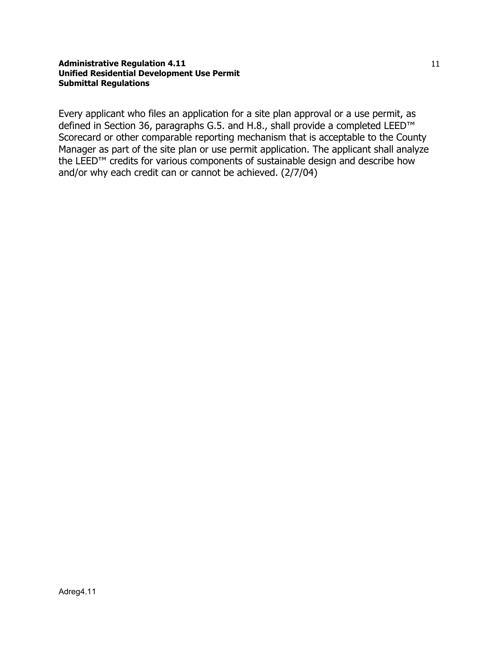Every applicant who files an application for a site plan approval or a use permit, as defined in Section 36, paragraphs G.5. and H.8., shall provide a completed LEED™ Scorecard or other comparable reporting mechanism that is acceptable to the County Manager as part of the site plan or use permit application. The applicant shall analyze the LEED™ credits for various components of sustainable design and describe how and/or why each credit can or cannot be achieved. (2/7/04)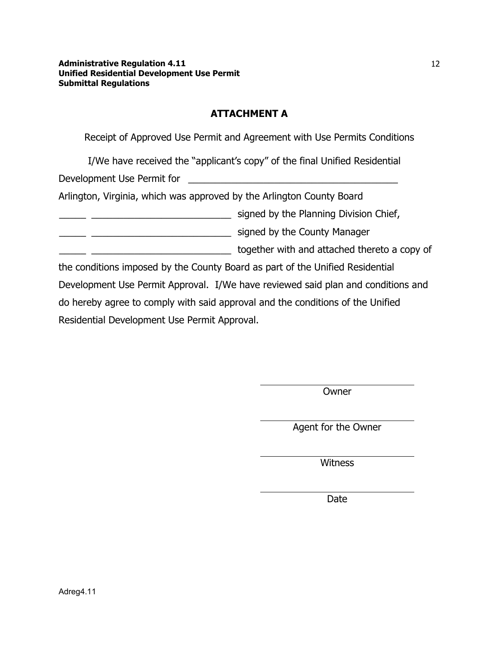# **ATTACHMENT A**

Receipt of Approved Use Permit and Agreement with Use Permits Conditions

I/We have received the "applicant's copy" of the final Unified Residential

Development Use Permit for \_\_\_\_\_\_\_\_\_\_\_\_\_\_\_\_\_\_\_\_\_\_\_\_\_\_\_\_\_\_\_\_\_\_\_\_\_\_\_

Arlington, Virginia, which was approved by the Arlington County Board

**Example 2.1 All 2.2 Signed by the Planning Division Chief,** 

\_\_\_\_\_ \_\_\_\_\_\_\_\_\_\_\_\_\_\_\_\_\_\_\_\_\_\_\_\_\_\_ signed by the County Manager

\_\_\_\_\_ \_\_\_\_\_\_\_\_\_\_\_\_\_\_\_\_\_\_\_\_\_\_\_\_\_\_ together with and attached thereto a copy of

the conditions imposed by the County Board as part of the Unified Residential Development Use Permit Approval. I/We have reviewed said plan and conditions and do hereby agree to comply with said approval and the conditions of the Unified Residential Development Use Permit Approval.

Owner

Agent for the Owner

Witness

Date